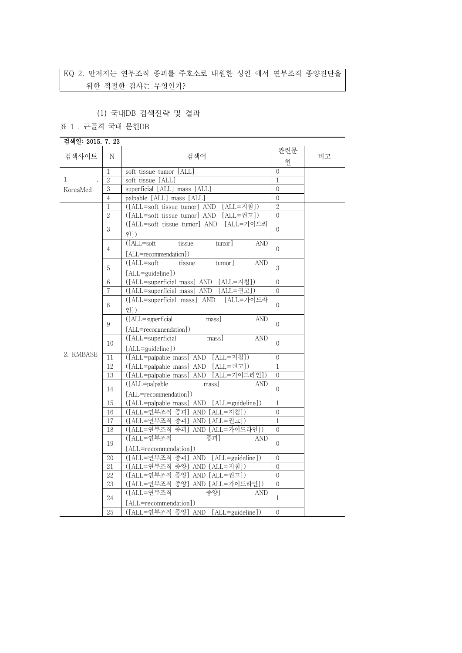# KQ 2. 만져지는 연부조직 종괴를 주호소로 내원한 성인 에서 연부조직 종양진단을 위한 적절한 검사는 무엇인가?

## (1) 국내DB 검색전략 및 결과

표 1 . 근골격 국내 문헌DB

| 검색일: 2015. 7. 23         |                |                                                  |                |    |
|--------------------------|----------------|--------------------------------------------------|----------------|----|
|                          |                |                                                  | 관련문            |    |
| 검색사이트                    | Ν              | 검색어                                              | 헌              | 비고 |
|                          | 1              | soft tissue tumor [ALL]                          | $\mathbf{0}$   |    |
| $\mathbf{1}$<br>KoreaMed | $\overline{2}$ | soft tissue [ALL]                                | $\mathbf{1}$   |    |
|                          | 3              | superficial [ALL] mass [ALL]                     | $\overline{0}$ |    |
|                          | $\overline{4}$ | palpable [ALL] mass [ALL]                        | $\overline{0}$ |    |
|                          | $\mathbf{1}$   | ([ALL=soft tissue tumor] AND [ALL=지침])           | $\overline{2}$ |    |
|                          | $\overline{2}$ | ([ALL=soft tissue tumor] AND [ALL=권고])           | $\overline{0}$ |    |
|                          | 3              | [ALL=가이드라<br>([ALL=soft tissue tumor] AND        | $\Omega$       |    |
|                          |                | 이])                                              |                |    |
|                          |                | $(IALL = soft$<br>tissue<br>tumor]<br><b>AND</b> |                |    |
|                          | 4              | [ALL=recommendation])                            | $\Omega$       |    |
|                          |                | $(LALI = soft$<br>tissue<br><b>AND</b><br>tumor] |                |    |
|                          | 5              | [ALL=guideline])                                 | 3              |    |
|                          | 6              | ([ALL=superficial mass] AND [ALL=지침])            | $\overline{0}$ |    |
|                          | 7              | ([ALL=superficial mass] AND [ALL=권고])            | $\Omega$       |    |
|                          |                | $[ALL = 7]$ 이드라<br>([ALL=superficial mass] AND   | $\Omega$       |    |
|                          | 8              | 인])                                              |                |    |
|                          |                | ([ALL=superficial<br><b>AND</b><br>mass]         | $\Omega$       |    |
|                          | 9              | [ALL=recommendation])                            |                |    |
|                          |                | ([ALL=superficial<br>mass]<br><b>AND</b>         |                |    |
|                          | 10             | [ALL=guideline])                                 | $\Omega$       |    |
| 2. KMBASE                | 11             | ([ALL=palpable mass] AND [ALL=지침])               | $\overline{0}$ |    |
|                          | 12             | ([ALL=palpable mass] AND [ALL=권고])               | $\mathbf{1}$   |    |
|                          | 13             | ([ALL=palpable mass] AND [ALL=가이드라인])            | $\Omega$       |    |
|                          |                | ([ALL=palpable<br>mass<br><b>AND</b>             |                |    |
|                          | 14             | [ALL=recommendation])                            | $\Omega$       |    |
|                          | 15             | ([ALL=palpable mass] AND [ALL=guideline])        | $\mathbf{1}$   |    |
|                          | 16             | ([ALL=연부조직 종괴] AND [ALL=지침])                     | $\overline{0}$ |    |
|                          | 17             | ([ALL=연부조직 종괴] AND [ALL=권고])                     | $\overline{1}$ |    |
|                          | 18             | ([ALL=연부조직 종괴] AND [ALL=가이드라인])                  | $\overline{0}$ |    |
|                          |                | ([ALL=연부조직<br>종괴]<br><b>AND</b>                  |                |    |
|                          | 19             | [ALL=recommendation])                            | $\overline{0}$ |    |
|                          | 20             | ([ALL=연부조직 종괴] AND [ALL=guideline])              | $\overline{0}$ |    |
|                          | 21             | ([ALL=연부조직 종양] AND [ALL=지침])                     | $\Omega$       |    |
|                          | 22             | ([ALL=연부조직 종양] AND [ALL=권고])                     | $\overline{0}$ |    |
|                          | 23             | ([ALL=연부조직 종양] AND [ALL=가이드라인])                  | $\overline{0}$ |    |
|                          | 24             | ([ALL=연부조직<br>종양]<br>AND                         | $\mathbf{1}$   |    |
|                          |                | [ALL=recommendation])                            |                |    |
|                          | $25\,$         | ([ALL=연부조직 종양] AND [ALL=guideline])              | $\Omega$       |    |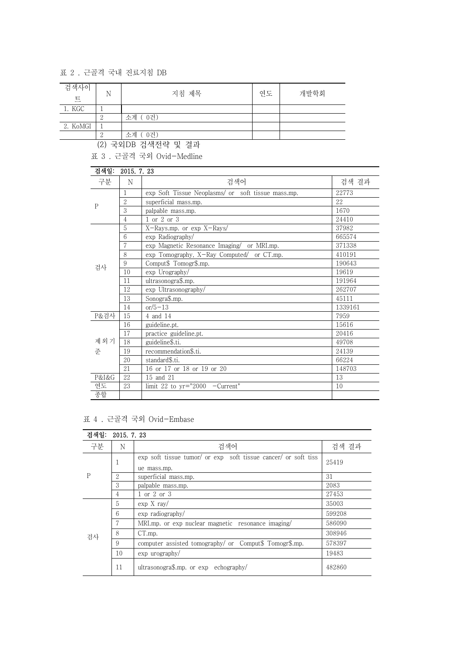## 표 2 . 근골격 국내 진료지침 DB

| 검색사이<br>트 | N | 지침 제목         | 연도 | 개발학회 |
|-----------|---|---------------|----|------|
| 1. KGC    |   |               |    |      |
|           | ↵ | - 0건)<br>소계 ( |    |      |
| 2. KoMGI  |   |               |    |      |
|           |   | 소계<br>0건)     |    |      |

(2) 국외DB 검색전략 및 결과

표 3 . 근골격 국외 Ovid-Medline

| 검색일:  | 2015. 7. 23    |                                                    |         |  |
|-------|----------------|----------------------------------------------------|---------|--|
| 구분    | N              | 검색어                                                | 검색 결과   |  |
| P     | 1              | exp Soft Tissue Neoplasms/ or soft tissue mass.mp. | 22773   |  |
|       | $\overline{2}$ | superficial mass.mp.                               | 22      |  |
|       | 3              | palpable mass.mp.                                  | 1670    |  |
|       | 4              | 1 or 2 or 3                                        | 24410   |  |
|       | 5              | X-Rays.mp. or exp X-Rays/                          | 37982   |  |
|       | 6              | exp Radiography/                                   | 665574  |  |
|       | 7              | exp Magnetic Resonance Imaging/ or MRI.mp.         | 371338  |  |
| 검사    | 8              | exp Tomography, X-Ray Computed/ or CT.mp.          | 410191  |  |
|       | 9              | Comput\$ Tomogr\$.mp.                              | 190643  |  |
|       | 10             | exp Urography/                                     | 19619   |  |
|       | 11             | ultrasonogra\$.mp.                                 | 191964  |  |
|       | 12             | exp Ultrasonography/                               | 262707  |  |
|       | 13             | Sonogra\$.mp.                                      | 45111   |  |
|       | 14             | $or/5-13$                                          | 1339161 |  |
| P&검사  | 15             | 4 and 14                                           | 7959    |  |
|       | 16             | guideline.pt.                                      | 15616   |  |
|       | 17             | practice guideline.pt.                             | 20416   |  |
| 제외기   | 18             | guideline\$.ti.                                    | 49708   |  |
| 준     | 19             | recommendation\$.ti.                               | 24139   |  |
|       | 20             | standard\$.ti.                                     | 66224   |  |
|       | 21             | 16 or 17 or 18 or 19 or 20                         | 148703  |  |
| P&I&G | 22             | 15 and 21                                          | 13      |  |
| 연도    | 23             | limit 22 to $yr="2000$ -Current"                   | 10      |  |
| 종합    |                |                                                    |         |  |

표 4 . 근골격 국외 Ovid-Embase

| 검색일: | 2015. 7. 23    |                                                                               |        |  |  |
|------|----------------|-------------------------------------------------------------------------------|--------|--|--|
| 구분   | N              | 검색어                                                                           | 검색 결과  |  |  |
| P    |                | exp soft tissue tumor/ or exp soft tissue cancer/ or soft tiss<br>ue mass.mp. | 25419  |  |  |
|      | 2              | superficial mass.mp.                                                          | 31     |  |  |
|      | 3              | palpable mass.mp.                                                             | 2083   |  |  |
|      | $\overline{4}$ | 1 or 2 or 3                                                                   | 27453  |  |  |
| 검사   | 5              | $\exp X \, \text{ray}/$                                                       | 35003  |  |  |
|      | 6              | exp radiography/                                                              | 599208 |  |  |
|      | 7              | MRI, mp. or exp nuclear magnetic resonance imaging/                           | 586090 |  |  |
|      | 8              | CT.mp.                                                                        | 308946 |  |  |
|      | 9              | computer assisted tomography/ or Comput\$ Tomogr\$.mp.                        | 578397 |  |  |
|      | 10             | $\exp$ urography/                                                             | 19483  |  |  |
|      | 11             | ultrasonogra\$.mp. or $exp$ echography/                                       | 482860 |  |  |